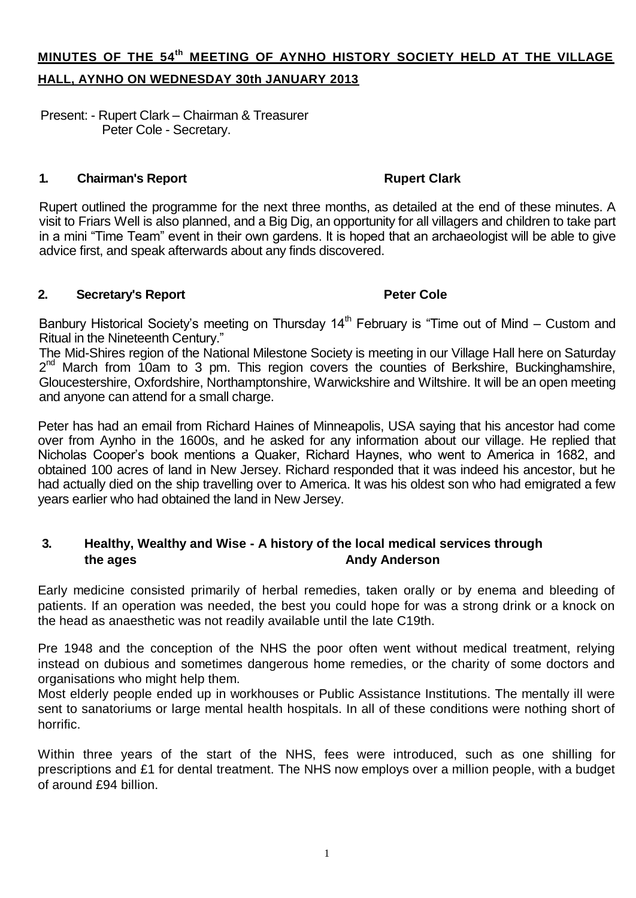# **MINUTES OF THE 54th MEETING OF AYNHO HISTORY SOCIETY HELD AT THE VILLAGE HALL, AYNHO ON WEDNESDAY 30th JANUARY 2013**

Present: - Rupert Clark – Chairman & Treasurer Peter Cole - Secretary.

### **1. Chairman's Report Rupert Clark**

Rupert outlined the programme for the next three months, as detailed at the end of these minutes. A visit to Friars Well is also planned, and a Big Dig, an opportunity for all villagers and children to take part in a mini "Time Team" event in their own gardens. It is hoped that an archaeologist will be able to give advice first, and speak afterwards about any finds discovered.

### **2. Secretary's Report Peter Cole**

Banbury Historical Society's meeting on Thursday  $14<sup>th</sup>$  February is "Time out of Mind – Custom and Ritual in the Nineteenth Century."

The Mid-Shires region of the National Milestone Society is meeting in our Village Hall here on Saturday 2<sup>nd</sup> March from 10am to 3 pm. This region covers the counties of Berkshire, Buckinghamshire, Gloucestershire, Oxfordshire, Northamptonshire, Warwickshire and Wiltshire. It will be an open meeting and anyone can attend for a small charge.

Peter has had an email from Richard Haines of Minneapolis, USA saying that his ancestor had come over from Aynho in the 1600s, and he asked for any information about our village. He replied that Nicholas Cooper's book mentions a Quaker, Richard Haynes, who went to America in 1682, and obtained 100 acres of land in New Jersey. Richard responded that it was indeed his ancestor, but he had actually died on the ship travelling over to America. It was his oldest son who had emigrated a few years earlier who had obtained the land in New Jersey.

### **3. Healthy, Wealthy and Wise - A history of the local medical services through the ages Andy Anderson**

Early medicine consisted primarily of herbal remedies, taken orally or by enema and bleeding of patients. If an operation was needed, the best you could hope for was a strong drink or a knock on the head as anaesthetic was not readily available until the late C19th.

Pre 1948 and the conception of the NHS the poor often went without medical treatment, relying instead on dubious and sometimes dangerous home remedies, or the charity of some doctors and organisations who might help them.

Most elderly people ended up in workhouses or Public Assistance Institutions. The mentally ill were sent to sanatoriums or large mental health hospitals. In all of these conditions were nothing short of horrific.

Within three years of the start of the NHS, fees were introduced, such as one shilling for prescriptions and £1 for dental treatment. The NHS now employs over a million people, with a budget of around £94 billion.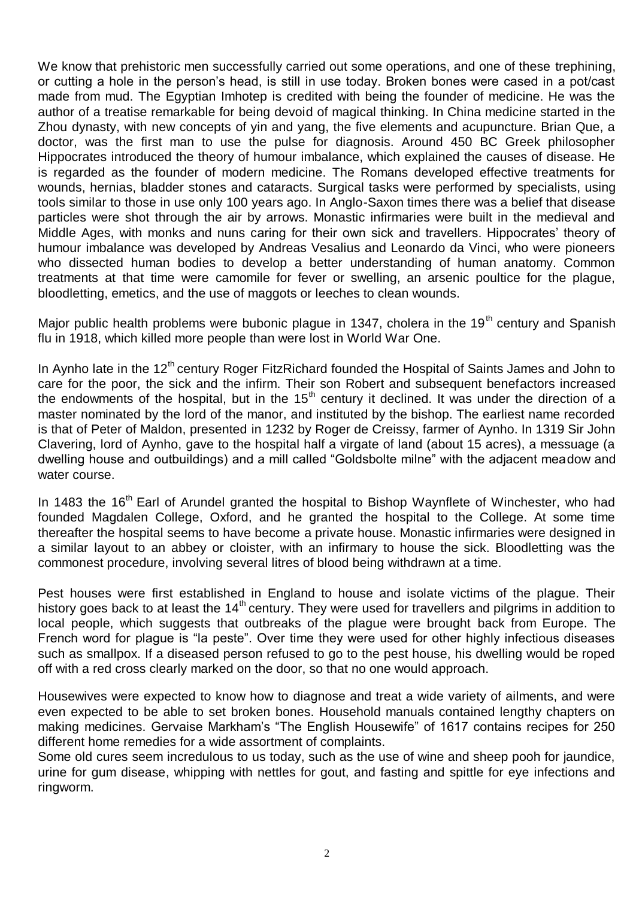We know that prehistoric men successfully carried out some operations, and one of these trephining, or cutting a hole in the person's head, is still in use today. Broken bones were cased in a pot/cast made from mud. The Egyptian Imhotep is credited with being the founder of medicine. He was the author of a treatise remarkable for being devoid of magical thinking. In China medicine started in the Zhou dynasty, with new concepts of yin and yang, the five elements and acupuncture. Brian Que, a doctor, was the first man to use the pulse for diagnosis. Around 450 BC Greek philosopher Hippocrates introduced the theory of humour imbalance, which explained the causes of disease. He is regarded as the founder of modern medicine. The Romans developed effective treatments for wounds, hernias, bladder stones and cataracts. Surgical tasks were performed by specialists, using tools similar to those in use only 100 years ago. In Anglo-Saxon times there was a belief that disease particles were shot through the air by arrows. Monastic infirmaries were built in the medieval and Middle Ages, with monks and nuns caring for their own sick and travellers. Hippocrates' theory of humour imbalance was developed by Andreas Vesalius and Leonardo da Vinci, who were pioneers who dissected human bodies to develop a better understanding of human anatomy. Common treatments at that time were camomile for fever or swelling, an arsenic poultice for the plague, bloodletting, emetics, and the use of maggots or leeches to clean wounds.

Major public health problems were bubonic plague in 1347, cholera in the 19<sup>th</sup> century and Spanish flu in 1918, which killed more people than were lost in World War One.

In Aynho late in the  $12<sup>th</sup>$  century Roger FitzRichard founded the Hospital of Saints James and John to care for the poor, the sick and the infirm. Their son Robert and subsequent benefactors increased the endowments of the hospital, but in the  $15<sup>th</sup>$  century it declined. It was under the direction of a master nominated by the lord of the manor, and instituted by the bishop. The earliest name recorded is that of Peter of Maldon, presented in 1232 by Roger de Creissy, farmer of Aynho. In 1319 Sir John Clavering, lord of Aynho, gave to the hospital half a virgate of land (about 15 acres), a messuage (a dwelling house and outbuildings) and a mill called "Goldsbolte milne" with the adjacent meadow and water course.

In 1483 the 16<sup>th</sup> Earl of Arundel granted the hospital to Bishop Waynflete of Winchester, who had founded Magdalen College, Oxford, and he granted the hospital to the College. At some time thereafter the hospital seems to have become a private house. Monastic infirmaries were designed in a similar layout to an abbey or cloister, with an infirmary to house the sick. Bloodletting was the commonest procedure, involving several litres of blood being withdrawn at a time.

Pest houses were first established in England to house and isolate victims of the plague. Their history goes back to at least the 14<sup>th</sup> century. They were used for travellers and pilgrims in addition to local people, which suggests that outbreaks of the plague were brought back from Europe. The French word for plague is "la peste". Over time they were used for other highly infectious diseases such as smallpox. If a diseased person refused to go to the pest house, his dwelling would be roped off with a red cross clearly marked on the door, so that no one would approach.

Housewives were expected to know how to diagnose and treat a wide variety of ailments, and were even expected to be able to set broken bones. Household manuals contained lengthy chapters on making medicines. Gervaise Markham's "The English Housewife" of 1617 contains recipes for 250 different home remedies for a wide assortment of complaints.

Some old cures seem incredulous to us today, such as the use of wine and sheep pooh for jaundice, urine for gum disease, whipping with nettles for gout, and fasting and spittle for eye infections and ringworm.